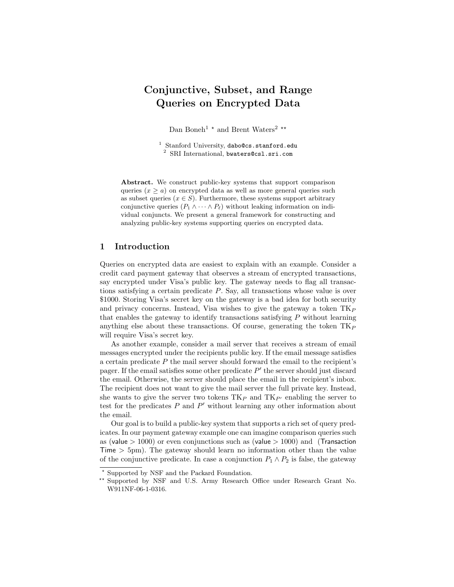# Conjunctive, Subset, and Range Queries on Encrypted Data

Dan Boneh<sup>1</sup>  $^\star$  and Brent Waters<sup>2</sup>  $^{\star\star}$ 

 $1$  Stanford University, dabo@cs.stanford.edu <sup>2</sup> SRI International, bwaters@csl.sri.com

Abstract. We construct public-key systems that support comparison queries  $(x \ge a)$  on encrypted data as well as more general queries such as subset queries  $(x \in S)$ . Furthermore, these systems support arbitrary conjunctive queries  $(P_1 \wedge \cdots \wedge P_\ell)$  without leaking information on individual conjuncts. We present a general framework for constructing and analyzing public-key systems supporting queries on encrypted data.

# 1 Introduction

Queries on encrypted data are easiest to explain with an example. Consider a credit card payment gateway that observes a stream of encrypted transactions, say encrypted under Visa's public key. The gateway needs to flag all transactions satisfying a certain predicate  $P$ . Say, all transactions whose value is over \$1000. Storing Visa's secret key on the gateway is a bad idea for both security and privacy concerns. Instead, Visa wishes to give the gateway a token  $TK_P$ that enables the gateway to identify transactions satisfying  $P$  without learning anything else about these transactions. Of course, generating the token  $TK_P$ will require Visa's secret key.

As another example, consider a mail server that receives a stream of email messages encrypted under the recipients public key. If the email message satisfies a certain predicate P the mail server should forward the email to the recipient's pager. If the email satisfies some other predicate  $P'$  the server should just discard the email. Otherwise, the server should place the email in the recipient's inbox. The recipient does not want to give the mail server the full private key. Instead, she wants to give the server two tokens  $TK_P$  and  $TK_{P'}$  enabling the server to test for the predicates  $P$  and  $P'$  without learning any other information about the email.

Our goal is to build a public-key system that supports a rich set of query predicates. In our payment gateway example one can imagine comparison queries such as (value  $> 1000$ ) or even conjunctions such as (value  $> 1000$ ) and (Transaction Time  $> 5 \text{pm}$ ). The gateway should learn no information other than the value of the conjunctive predicate. In case a conjunction  $P_1 \wedge P_2$  is false, the gateway

<sup>?</sup> Supported by NSF and the Packard Foundation.

<sup>\*\*</sup> Supported by NSF and U.S. Army Research Office under Research Grant No. W911NF-06-1-0316.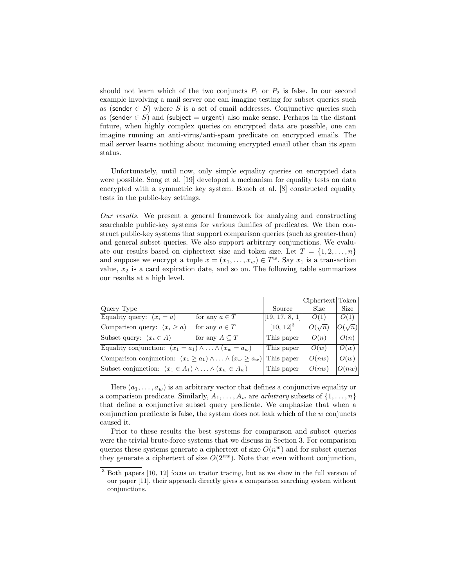should not learn which of the two conjuncts  $P_1$  or  $P_2$  is false. In our second example involving a mail server one can imagine testing for subset queries such as (sender  $\in S$ ) where S is a set of email addresses. Conjunctive queries such as (sender  $\in S$ ) and (subject = urgent) also make sense. Perhaps in the distant future, when highly complex queries on encrypted data are possible, one can imagine running an anti-virus/anti-spam predicate on encrypted emails. The mail server learns nothing about incoming encrypted email other than its spam status.

Unfortunately, until now, only simple equality queries on encrypted data were possible. Song et al. [19] developed a mechanism for equality tests on data encrypted with a symmetric key system. Boneh et al. [8] constructed equality tests in the public-key settings.

Our results. We present a general framework for analyzing and constructing searchable public-key systems for various families of predicates. We then construct public-key systems that support comparison queries (such as greater-than) and general subset queries. We also support arbitrary conjunctions. We evaluate our results based on ciphertext size and token size. Let  $T = \{1, 2, ..., n\}$ and suppose we encrypt a tuple  $x = (x_1, \ldots, x_w) \in T^w$ . Say  $x_1$  is a transaction value,  $x_2$  is a card expiration date, and so on. The following table summarizes our results at a high level.

|                                                                            |                       |                  | Ciphertext Token |               |
|----------------------------------------------------------------------------|-----------------------|------------------|------------------|---------------|
| Query Type                                                                 |                       | Source           | Size             | Size          |
| Equality query: $(x_i = a)$                                                | for any $a \in T$     | [[19, 17, 8, 1]] | O(1)             | O(1)          |
| Comparison query: $(x_i \ge a)$                                            | for any $a \in T$     | $[10, 12]^{3}$   | $O(\sqrt{n})$    | $O(\sqrt{n})$ |
| Subset query: $(x_i \in A)$                                                | for any $A \subset T$ | This paper       | O(n)             | O(n)          |
| Equality conjunction: $(x_1 = a_1) \wedge \ldots \wedge (x_w = a_w)$       |                       | This paper       | O(w)             | O(w)          |
| Comparison conjunction: $(x_1 \ge a_1) \wedge \ldots \wedge (x_w \ge a_w)$ |                       | This paper       | O(nw)            | O(w)          |
| Subset conjunction: $(x_1 \in A_1) \wedge  \wedge (x_w \in A_w)$           |                       | This paper       | O(nw)            | O(nw)         |

Here  $(a_1, \ldots, a_w)$  is an arbitrary vector that defines a conjunctive equality or a comparison predicate. Similarly,  $A_1, \ldots, A_w$  are arbitrary subsets of  $\{1, \ldots, n\}$ that define a conjunctive subset query predicate. We emphasize that when a conjunction predicate is false, the system does not leak which of the  $w$  conjuncts caused it.

Prior to these results the best systems for comparison and subset queries were the trivial brute-force systems that we discuss in Section 3. For comparison queries these systems generate a ciphertext of size  $O(n^w)$  and for subset queries they generate a ciphertext of size  $O(2^{nw})$ . Note that even without conjunction,

<sup>3</sup> Both papers [10, 12] focus on traitor tracing, but as we show in the full version of our paper [11], their approach directly gives a comparison searching system without conjunctions.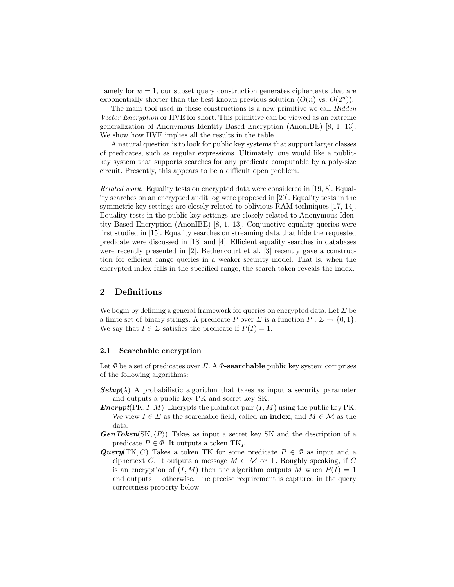namely for  $w = 1$ , our subset query construction generates ciphertexts that are exponentially shorter than the best known previous solution  $(O(n)$  vs.  $O(2<sup>n</sup>)$ .

The main tool used in these constructions is a new primitive we call *Hidden* Vector Encryption or HVE for short. This primitive can be viewed as an extreme generalization of Anonymous Identity Based Encryption (AnonIBE) [8, 1, 13]. We show how HVE implies all the results in the table.

A natural question is to look for public key systems that support larger classes of predicates, such as regular expressions. Ultimately, one would like a publickey system that supports searches for any predicate computable by a poly-size circuit. Presently, this appears to be a difficult open problem.

Related work. Equality tests on encrypted data were considered in [19, 8]. Equality searches on an encrypted audit log were proposed in [20]. Equality tests in the symmetric key settings are closely related to oblivious RAM techniques [17, 14]. Equality tests in the public key settings are closely related to Anonymous Identity Based Encryption (AnonIBE) [8, 1, 13]. Conjunctive equality queries were first studied in [15]. Equality searches on streaming data that hide the requested predicate were discussed in [18] and [4]. Efficient equality searches in databases were recently presented in [2]. Bethencourt et al. [3] recently gave a construction for efficient range queries in a weaker security model. That is, when the encrypted index falls in the specified range, the search token reveals the index.

## 2 Definitions

We begin by defining a general framework for queries on encrypted data. Let  $\Sigma$  be a finite set of binary strings. A predicate P over  $\Sigma$  is a function  $P : \Sigma \to \{0, 1\}.$ We say that  $I \in \Sigma$  satisfies the predicate if  $P(I) = 1$ .

## 2.1 Searchable encryption

Let  $\Phi$  be a set of predicates over  $\Sigma$ . A  $\Phi$ -searchable public key system comprises of the following algorithms:

- **Setup**( $\lambda$ ) A probabilistic algorithm that takes as input a security parameter and outputs a public key PK and secret key SK.
- **Encrypt**(PK, I, M) Encrypts the plaintext pair  $(I, M)$  using the public key PK. We view  $I \in \Sigma$  as the searchable field, called an **index**, and  $M \in \mathcal{M}$  as the data.
- **GenToken**(SK, $\langle P \rangle$ ) Takes as input a secret key SK and the description of a predicate  $P \in \Phi$ . It outputs a token TK<sub>P</sub>.
- **Query**(TK, C) Takes a token TK for some predicate  $P \in \Phi$  as input and a ciphertext C. It outputs a message  $M \in \mathcal{M}$  or  $\perp$ . Roughly speaking, if C is an encryption of  $(I, M)$  then the algorithm outputs M when  $P(I) = 1$ and outputs  $\perp$  otherwise. The precise requirement is captured in the query correctness property below.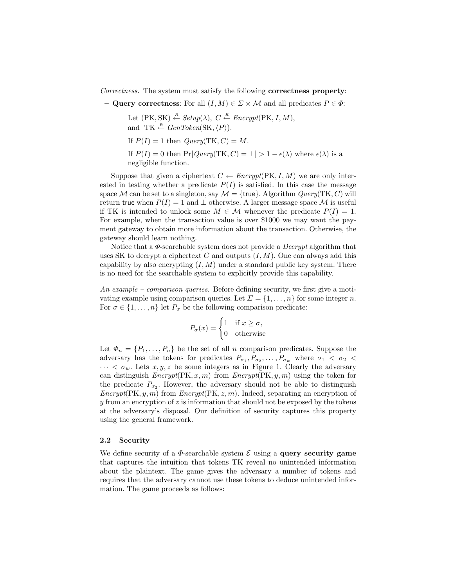Correctness. The system must satisfy the following correctness property:

– Query correctness: For all  $(I, M) \in \Sigma \times \mathcal{M}$  and all predicates  $P \in \Phi$ :

Let  $(PK, SK) \stackrel{R}{\leftarrow} Setup(\lambda), C \stackrel{R}{\leftarrow} Encryption(PK, I, M),$ and TK  $\stackrel{R}{\leftarrow} GenToken(SK, \langle P \rangle).$ If  $P(I) = 1$  then  $Query(TK, C) = M$ . If  $P(I) = 0$  then  $Pr[Query(TK, C) = \bot] > 1 - \epsilon(\lambda)$  where  $\epsilon(\lambda)$  is a

negligible function.

Suppose that given a ciphertext  $C \leftarrow \text{Encrypt}(\text{PK}, I, M)$  we are only interested in testing whether a predicate  $P(I)$  is satisfied. In this case the message space M can be set to a singleton, say  $\mathcal{M} = \{ \text{true} \}$ . Algorithm  $Query(TK, C)$  will return true when  $P(I) = 1$  and  $\perp$  otherwise. A larger message space M is useful if TK is intended to unlock some  $M \in \mathcal{M}$  whenever the predicate  $P(I) = 1$ . For example, when the transaction value is over \$1000 we may want the payment gateway to obtain more information about the transaction. Otherwise, the gateway should learn nothing.

Notice that a  $\Phi$ -searchable system does not provide a *Decrypt* algorithm that uses SK to decrypt a ciphertext C and outputs  $(I, M)$ . One can always add this capability by also encrypting  $(I, M)$  under a standard public key system. There is no need for the searchable system to explicitly provide this capability.

An example – comparison queries. Before defining security, we first give a motivating example using comparison queries. Let  $\Sigma = \{1, \ldots, n\}$  for some integer n. For  $\sigma \in \{1, \ldots, n\}$  let  $P_{\sigma}$  be the following comparison predicate:

$$
P_{\sigma}(x) = \begin{cases} 1 & \text{if } x \ge \sigma, \\ 0 & \text{otherwise} \end{cases}
$$

Let  $\Phi_n = \{P_1, \ldots, P_n\}$  be the set of all n comparison predicates. Suppose the adversary has the tokens for predicates  $P_{\sigma_1}, P_{\sigma_2}, \ldots, P_{\sigma_w}$  where  $\sigma_1 < \sigma_2 <$  $\cdots < \sigma_w$ . Lets  $x, y, z$  be some integers as in Figure 1. Clearly the adversary can distinguish  $\text{Encrypt}(\text{PK}, x, m)$  from  $\text{Encrypt}(\text{PK}, y, m)$  using the token for the predicate  $P_{\sigma_2}$ . However, the adversary should not be able to distinguish  $\text{Encrypt}(\text{PK}, y, m)$  from  $\text{Encrypt}(\text{PK}, z, m)$ . Indeed, separating an encryption of y from an encryption of z is information that should not be exposed by the tokens at the adversary's disposal. Our definition of security captures this property using the general framework.

#### 2.2 Security

We define security of a  $\Phi$ -searchable system  $\mathcal E$  using a **query security game** that captures the intuition that tokens TK reveal no unintended information about the plaintext. The game gives the adversary a number of tokens and requires that the adversary cannot use these tokens to deduce unintended information. The game proceeds as follows: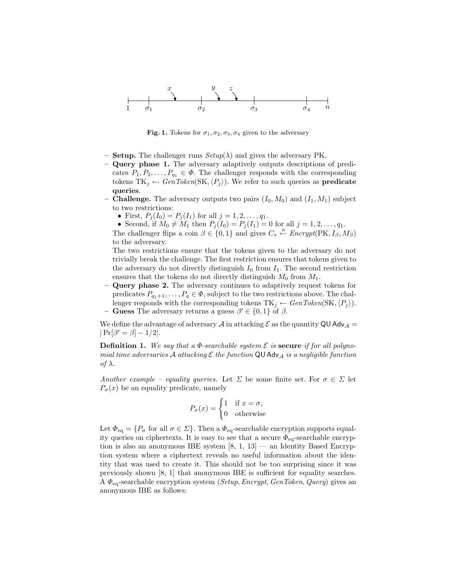

Fig. 1. Tokens for  $\sigma_1, \sigma_2, \sigma_3, \sigma_4$  given to the adversary

- **Setup.** The challenger runs  $Setup(\lambda)$  and gives the adversary PK.
- Query phase 1. The adversary adaptively outputs descriptions of predicates  $P_1, P_2, \ldots, P_{q_1} \in \Phi$ . The challenger responds with the corresponding tokens  $TK_i \leftarrow GenToken(SK, \langle P_i \rangle)$ . We refer to such queries as **predicate** queries.
- **Challenge.** The adversary outputs two pairs  $(I_0, M_0)$  and  $(I_1, M_1)$  subject to two restrictions:
	- First,  $P_j(I_0) = P_j(I_1)$  for all  $j = 1, 2, ..., q_1$ .
	- Second, if  $M_0 \neq M_1$  then  $P_j (I_0) = P_j (I_1) = 0$  for all  $j = 1, 2, ..., q_1$ .

The challenger flips a coin  $\beta \in \{0,1\}$  and gives  $C_* \stackrel{R}{\leftarrow} \text{Encrypt}(\text{PK}, I_\beta, M_\beta)$ to the adversary.

The two restrictions ensure that the tokens given to the adversary do not trivially break the challenge. The first restriction ensures that tokens given to the adversary do not directly distinguish  $I_0$  from  $I_1$ . The second restriction ensures that the tokens do not directly distinguish  $M_0$  from  $M_1$ .

– Query phase 2. The adversary continues to adaptively request tokens for predicates  $P_{q_1+1}, \ldots, P_q \in \Phi$ , subject to the two restrictions above. The challenger responds with the corresponding tokens  $TK_j \leftarrow GenToken(SK, \langle P_j \rangle)$ . – Guess The adversary returns a guess  $\beta' \in \{0,1\}$  of  $\beta$ .

We define the advantage of adversary A in attacking  $\mathcal E$  as the quantity QU Adv<sub>A</sub> =  $|Pr[\beta' = \beta] - 1/2|.$ 

**Definition 1.** We say that a  $\Phi$ -searchable system  $\mathcal E$  is secure if for all polynomial time adversaries A attacking  $\mathcal E$  the function QU Adv<sub>A</sub> is a negligible function of  $\lambda$ .

Another example – equality queries. Let  $\Sigma$  be some finite set. For  $\sigma \in \Sigma$  let  $P_{\sigma}(x)$  be an equality predicate, namely

$$
P_{\sigma}(x) = \begin{cases} 1 & \text{if } x = \sigma, \\ 0 & \text{otherwise} \end{cases}
$$

Let  $\Phi_{\text{eq}} = \{P_{\sigma} \text{ for all } \sigma \in \Sigma\}$ . Then a  $\Phi_{\text{eq}}$ -searchable encryption supports equality queries on ciphertexts. It is easy to see that a secure  $\Phi_{\text{eq}}$ -searchable encryption is also an anonymous IBE system  $[8, 1, 13]$  — an Identity Based Encryption system where a ciphertext reveals no useful information about the identity that was used to create it. This should not be too surprising since it was previously shown [8, 1] that anonymous IBE is sufficient for equality searches. A  $\Phi_{\text{eq}}$ -searchable encryption system (Setup, Encrypt, GenToken, Query) gives an anonymous IBE as follows: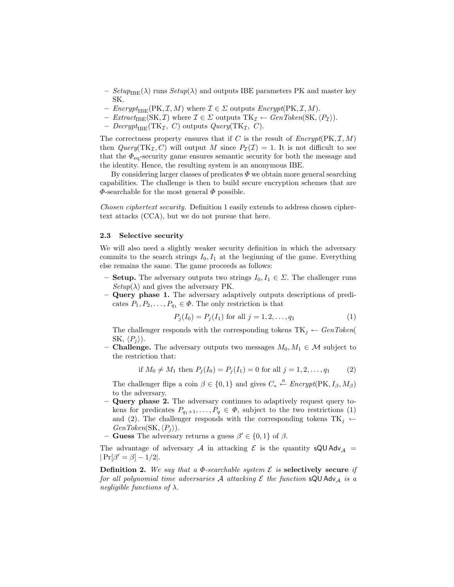- $-$  Setup<sub>IBE</sub>( $\lambda$ ) runs Setup( $\lambda$ ) and outputs IBE parameters PK and master key SK.
- $\text{Encrypt}_{\text{IBE}}(\text{PK}, \mathcal{I}, M)$  where  $\mathcal{I} \in \Sigma$  outputs  $\text{Encrypt}(\text{PK}, \mathcal{I}, M)$ .
- $Extract_{B E}(SK, \mathcal{I})$  where  $\mathcal{I} \in \Sigma$  outputs  $TK_{\mathcal{I}} \leftarrow GenToken(S K, \langle P_{\mathcal{I}} \rangle)$ .
- Decrypt<sub>IBE</sub>(TK<sub>I</sub>, C) outputs Query(TK<sub>I</sub>, C).

The correctness property ensures that if C is the result of  $\text{Encrypt}(\text{PK}, \mathcal{I}, M)$ then  $Query(TK_{\mathcal{I}}, C)$  will output M since  $P_{\mathcal{I}}(\mathcal{I}) = 1$ . It is not difficult to see that the  $\Phi_{\text{eq}}$ -security game ensures semantic security for both the message and the identity. Hence, the resulting system is an anonymous IBE.

By considering larger classes of predicates  $\Phi$  we obtain more general searching capabilities. The challenge is then to build secure encryption schemes that are  $\Phi$ -searchable for the most general  $\Phi$  possible.

Chosen ciphertext security. Definition 1 easily extends to address chosen ciphertext attacks (CCA), but we do not pursue that here.

#### 2.3 Selective security

We will also need a slightly weaker security definition in which the adversary commits to the search strings  $I_0, I_1$  at the beginning of the game. Everything else remains the same. The game proceeds as follows:

- **Setup.** The adversary outputs two strings  $I_0, I_1 \in \Sigma$ . The challenger runs  $Setup(\lambda)$  and gives the adversary PK.
- Query phase 1. The adversary adaptively outputs descriptions of predicates  $P_1, P_2, \ldots, P_{q_1} \in \Phi$ . The only restriction is that

$$
P_j(I_0) = P_j(I_1) \text{ for all } j = 1, 2, \dots, q_1 \tag{1}
$$

The challenger responds with the corresponding tokens  $TK_j \leftarrow GenToken($ SK,  $\langle P_i \rangle$ ).

– **Challenge.** The adversary outputs two messages  $M_0, M_1 \in \mathcal{M}$  subject to the restriction that:

if 
$$
M_0 \neq M_1
$$
 then  $P_j(I_0) = P_j(I_1) = 0$  for all  $j = 1, 2, ..., q_1$  (2)

The challenger flips a coin  $\beta \in \{0,1\}$  and gives  $C_* \stackrel{R}{\leftarrow} \text{Encrypt}(\text{PK}, I_\beta, M_\beta)$ to the adversary.

- Query phase 2. The adversary continues to adaptively request query tokens for predicates  $P_{q_1+1}, \ldots, P_q \in \Phi$ , subject to the two restrictions (1) and (2). The challenger responds with the corresponding tokens  $TK_j \leftarrow$  $GenToken(SK, \langle P_i \rangle).$
- Guess The adversary returns a guess  $\beta' \in \{0, 1\}$  of  $\beta$ .

The advantage of adversary A in attacking  $\mathcal E$  is the quantity sQU Adv<sub>A</sub> =  $|Pr[\beta' = \beta] - 1/2|.$ 

**Definition 2.** We say that a  $\Phi$ -searchable system  $\mathcal E$  is **selectively** secure if for all polynomial time adversaries A attacking  $\mathcal E$  the function sQU Adv<sub>A</sub> is a negligible functions of  $\lambda$ .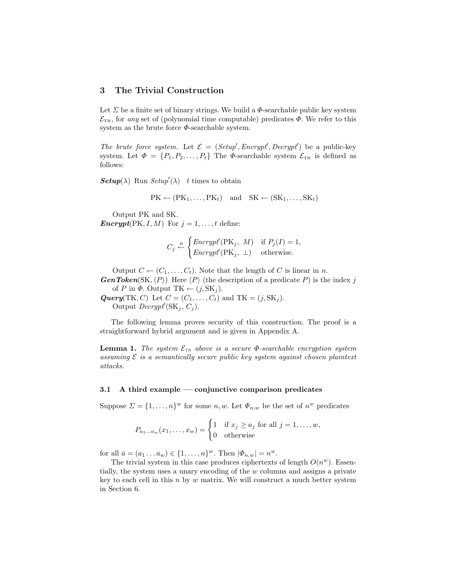# 3 The Trivial Construction

Let  $\Sigma$  be a finite set of binary strings. We build a  $\Phi$ -searchable public key system  $\mathcal{E}_{TR}$ , for any set of (polynomial time computable) predicates  $\Phi$ . We refer to this system as the brute force  $\Phi$ -searchable system.

The brute force system. Let  $\mathcal{E} = (Setup', Encryption', Decrypt')$  be a public-key system. Let  $\Phi = \{P_1, P_2, \ldots, P_t\}$  The  $\Phi$ -searchable system  $\mathcal{E}_{TR}$  is defined as follows:

**Setup**( $\lambda$ ) Run Setup'( $\lambda$ ) t times to obtain

$$
PK \leftarrow (PK_1, \ldots, PK_t) \quad and \quad SK \leftarrow (SK_1, \ldots, SK_t)
$$

Output PK and SK. **Encrypt**(PK, I, M) For  $j = 1, ..., t$  define:

$$
C_j \stackrel{R}{\leftarrow} \begin{cases} \text{Encrypt}'(\text{PK}_j, M) & \text{if } P_j(I) = 1, \\ \text{Encrypt}'(\text{PK}_j, \perp) & \text{otherwise.} \end{cases}
$$

Output  $C \leftarrow (C_1, \ldots, C_t)$ . Note that the length of C is linear in n. **GenToken**(SK,  $\langle P \rangle$ ) Here  $\langle P \rangle$  (the description of a predicate P) is the index j

of P in  $\Phi$ . Output TK  $\leftarrow (j, SK_j)$ .

**Query**(TK, C) Let  $C = (C_1, \ldots, C_t)$  and TK =  $(j, SK_j)$ . Output  $\text{Decrypt}'(\text{SK}_j, C_j)$ .

The following lemma proves security of this construction. The proof is a straightforward hybrid argument and is given in Appendix A.

**Lemma 1.** The system  $\mathcal{E}_{TR}$  above is a secure  $\Phi$ -searchable encryption system assuming  $\mathcal E$  is a semantically secure public key system against chosen plaintext attacks.

#### 3.1 A third example — conjunctive comparison predicates

Suppose  $\Sigma = \{1, \ldots, n\}^w$  for some n, w. Let  $\Phi_{n,w}$  be the set of  $n^w$  predicates

$$
P_{a_1...a_w}(x_1,...,x_w) = \begin{cases} 1 & \text{if } x_j \ge a_j \text{ for all } j = 1,...,w, \\ 0 & \text{otherwise} \end{cases}
$$

for all  $\bar{a} = (a_1 \dots a_w) \in \{1, \dots, n\}^w$ . Then  $|\Phi_{n,w}| = n^w$ .

The trivial system in this case produces ciphertexts of length  $O(n^w)$ . Essentially, the system uses a unary encoding of the w columns and assigns a private key to each cell in this  $n$  by  $w$  matrix. We will construct a much better system in Section 6.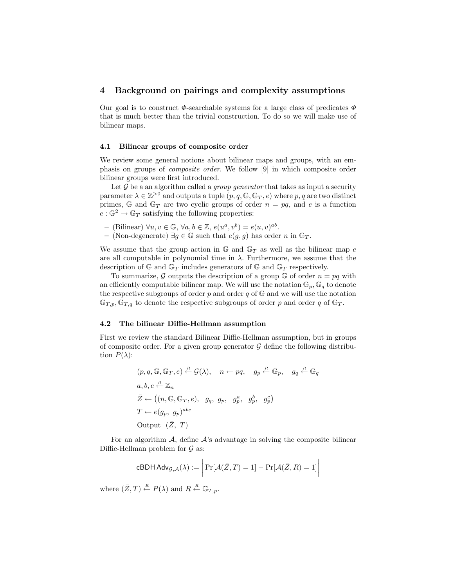## 4 Background on pairings and complexity assumptions

Our goal is to construct  $\Phi$ -searchable systems for a large class of predicates  $\Phi$ that is much better than the trivial construction. To do so we will make use of bilinear maps.

#### 4.1 Bilinear groups of composite order

We review some general notions about bilinear maps and groups, with an emphasis on groups of composite order. We follow [9] in which composite order bilinear groups were first introduced.

Let  $\mathcal G$  be a an algorithm called a *group generator* that takes as input a security parameter  $\lambda \in \mathbb{Z}^{>0}$  and outputs a tuple  $(p, q, \mathbb{G}, \mathbb{G}_T, e)$  where  $p, q$  are two distinct primes, G and  $\mathbb{G}_T$  are two cyclic groups of order  $n = pq$ , and e is a function  $e : \mathbb{G}^2 \to \mathbb{G}_T$  satisfying the following properties:

- $-$  (Bilinear)  $\forall u, v \in \mathbb{G}, \forall a, b \in \mathbb{Z}, e(u^a, v^b) = e(u, v)^{ab}$ .
- (Non-degenerate) ∃g ∈ G such that  $e(g, g)$  has order n in G<sub>T</sub>.

We assume that the group action in  $\mathbb{G}$  and  $\mathbb{G}_T$  as well as the bilinear map e are all computable in polynomial time in  $\lambda$ . Furthermore, we assume that the description of G and  $\mathbb{G}_T$  includes generators of G and  $\mathbb{G}_T$  respectively.

To summarize, G outputs the description of a group G of order  $n = pq$  with an efficiently computable bilinear map. We will use the notation  $\mathbb{G}_p$ ,  $\mathbb{G}_q$  to denote the respective subgroups of order  $p$  and order  $q$  of  $\mathbb{G}$  and we will use the notation  $\mathbb{G}_{T,p}, \mathbb{G}_{T,q}$  to denote the respective subgroups of order p and order q of  $\mathbb{G}_T$ .

## 4.2 The bilinear Diffie-Hellman assumption

First we review the standard Bilinear Diffie-Hellman assumption, but in groups of composite order. For a given group generator  $\mathcal G$  define the following distribution  $P(\lambda)$ :

$$
(p, q, \mathbb{G}, \mathbb{G}_T, e) \stackrel{R}{\leftarrow} \mathcal{G}(\lambda), \quad n \leftarrow pq, \quad g_p \stackrel{R}{\leftarrow} \mathbb{G}_p, \quad g_q \stackrel{R}{\leftarrow} \mathbb{G}_q
$$
  
\n
$$
a, b, c \stackrel{R}{\leftarrow} \mathbb{Z}_n
$$
  
\n
$$
\bar{Z} \leftarrow ((n, \mathbb{G}, \mathbb{G}_T, e), \quad g_q, \quad g_p, \quad g_p^a, \quad g_p^b, \quad g_p^c)
$$
  
\n
$$
T \leftarrow e(g_p, \quad g_p)^{abc}
$$
  
\nOutput  $(\bar{Z}, T)$ 

For an algorithm  $A$ , define  $A$ 's advantage in solving the composite bilinear Diffie-Hellman problem for  $\mathcal G$  as:

$$
\mathsf{cBDH} \, \mathsf{Adv}_{\mathcal{G}, \mathcal{A}}(\lambda) := \bigg| \Pr[\mathcal{A}(\bar{Z}, T) = 1] - \Pr[\mathcal{A}(\bar{Z}, R) = 1] \bigg|
$$

where  $(\bar{Z}, T) \stackrel{R}{\leftarrow} P(\lambda)$  and  $R \stackrel{R}{\leftarrow} \mathbb{G}_{T,p}$ .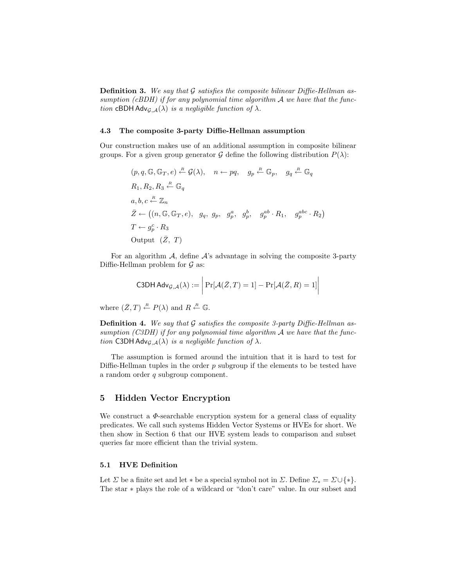**Definition 3.** We say that  $G$  satisfies the composite bilinear Diffie-Hellman assumption (cBDH) if for any polynomial time algorithm  $A$  we have that the function cBDH Adv $_{\mathcal{G},\mathcal{A}}(\lambda)$  is a negligible function of  $\lambda$ .

#### 4.3 The composite 3-party Diffie-Hellman assumption

Our construction makes use of an additional assumption in composite bilinear groups. For a given group generator G define the following distribution  $P(\lambda)$ :

$$
(p, q, \mathbb{G}, \mathbb{G}_T, e) \stackrel{R}{\leftarrow} \mathcal{G}(\lambda), \quad n \leftarrow pq, \quad g_p \stackrel{R}{\leftarrow} \mathbb{G}_p, \quad g_q \stackrel{R}{\leftarrow} \mathbb{G}_q
$$
  
\n
$$
R_1, R_2, R_3 \stackrel{R}{\leftarrow} \mathbb{G}_q
$$
  
\n
$$
a, b, c \stackrel{R}{\leftarrow} \mathbb{Z}_n
$$
  
\n
$$
\bar{Z} \leftarrow ((n, \mathbb{G}, \mathbb{G}_T, e), \quad g_q, \quad g_p, \quad g_p^a, \quad g_p^b, \quad g_p^{ab} \cdot R_1, \quad g_p^{abc} \cdot R_2)
$$
  
\n
$$
T \leftarrow g_p^c \cdot R_3
$$
  
\nOutput  $(\bar{Z}, T)$ 

For an algorithm  $A$ , define  $A$ 's advantage in solving the composite 3-party Diffie-Hellman problem for  $\mathcal G$  as:

C3DH Adv<sub>G,A</sub>(
$$
\lambda
$$
) :=  $\left| \Pr[\mathcal{A}(\bar{Z}, T) = 1] - \Pr[\mathcal{A}(\bar{Z}, R) = 1] \right|$ 

where  $(\bar{Z}, T) \stackrel{R}{\leftarrow} P(\lambda)$  and  $R \stackrel{R}{\leftarrow} \mathbb{G}$ .

**Definition 4.** We say that  $G$  satisfies the composite 3-party Diffie-Hellman assumption (C3DH) if for any polynomial time algorithm  $A$  we have that the function C3DH Adv $_{\mathcal{G},\mathcal{A}}(\lambda)$  is a negligible function of  $\lambda$ .

The assumption is formed around the intuition that it is hard to test for Diffie-Hellman tuples in the order  $p$  subgroup if the elements to be tested have a random order  $\boldsymbol{q}$  subgroup component.

## 5 Hidden Vector Encryption

We construct a  $\Phi$ -searchable encryption system for a general class of equality predicates. We call such systems Hidden Vector Systems or HVEs for short. We then show in Section 6 that our HVE system leads to comparison and subset queries far more efficient than the trivial system.

#### 5.1 HVE Definition

Let  $\Sigma$  be a finite set and let  $*$  be a special symbol not in  $\Sigma$ . Define  $\Sigma_* = \Sigma \cup \{*\}.$ The star ∗ plays the role of a wildcard or "don't care" value. In our subset and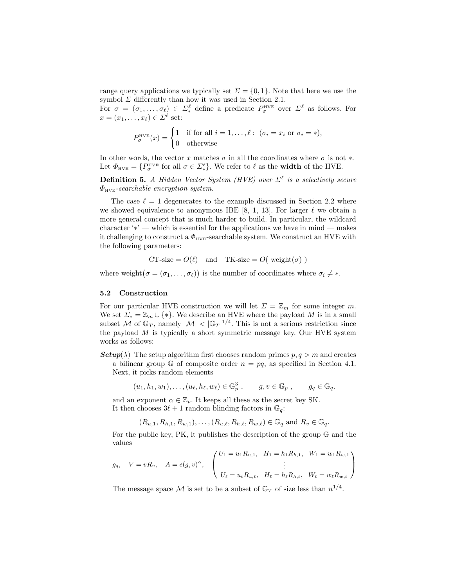range query applications we typically set  $\Sigma = \{0, 1\}$ . Note that here we use the symbol  $\Sigma$  differently than how it was used in Section 2.1.

For  $\sigma = (\sigma_1, \ldots, \sigma_\ell) \in \Sigma_*^{\ell}$  define a predicate  $P_{\sigma}^{\text{HVE}}$  over  $\Sigma^{\ell}$  as follows. For  $x = (x_1, \ldots, x_\ell) \in \Sigma^\ell$  set:

$$
P_{\sigma}^{\text{HVE}}(x) = \begin{cases} 1 & \text{if for all } i = 1, \dots, \ell : (\sigma_i = x_i \text{ or } \sigma_i = *), \\ 0 & \text{otherwise} \end{cases}
$$

In other words, the vector x matches  $\sigma$  in all the coordinates where  $\sigma$  is not  $*$ . Let  $\Phi_{\text{HVE}} = \{P_{\sigma}^{\text{HVE}} \text{ for all } \sigma \in \Sigma_*^{\ell}\}\.$  We refer to  $\ell$  as the **width** of the HVE.

**Definition 5.** A Hidden Vector System (HVE) over  $\Sigma^{\ell}$  is a selectively secure  $\Phi_{HVE}$ -searchable encryption system.

The case  $\ell = 1$  degenerates to the example discussed in Section 2.2 where we showed equivalence to anonymous IBE [8, 1, 13]. For larger  $\ell$  we obtain a more general concept that is much harder to build. In particular, the wildcard character '∗' — which is essential for the applications we have in mind — makes it challenging to construct a  $\Phi_{HVE}$ -searchable system. We construct an HVE with the following parameters:

CT-size = 
$$
O(\ell)
$$
 and TK-size =  $O(\text{weight}(\sigma))$ 

where weight  $(\sigma = (\sigma_1, \ldots, \sigma_\ell))$  is the number of coordinates where  $\sigma_i \neq *$ .

#### 5.2 Construction

For our particular HVE construction we will let  $\Sigma = \mathbb{Z}_m$  for some integer m. We set  $\Sigma_* = \mathbb{Z}_m \cup \{*\}$ . We describe an HVE where the payload M is in a small subset M of  $\mathbb{G}_T$ , namely  $|M| < |\mathbb{G}_T|^{1/4}$ . This is not a serious restriction since the payload  $M$  is typically a short symmetric message key. Our HVE system works as follows:

**Setup**( $\lambda$ ) The setup algorithm first chooses random primes  $p, q > m$  and creates a bilinear group G of composite order  $n = pq$ , as specified in Section 4.1. Next, it picks random elements

$$
(u_1, h_1, w_1), \dots, (u_\ell, h_\ell, w_\ell) \in \mathbb{G}_p^3, \qquad g, v \in \mathbb{G}_p, \qquad g_q \in \mathbb{G}_q.
$$

and an exponent  $\alpha \in \mathbb{Z}_p$ . It keeps all these as the secret key SK. It then chooses  $3\ell + 1$  random blinding factors in  $\mathbb{G}_q$ :

 $(R_{u,1}, R_{h,1}, R_{w,1}), \ldots, (R_{u,\ell}, R_{h,\ell}, R_{w,\ell}) \in \mathbb{G}_q$  and  $R_v \in \mathbb{G}_q$ .

For the public key, PK, it publishes the description of the group G and the values

$$
g_q
$$
,  $V = vR_v$ ,  $A = e(g, v)^\alpha$ , 
$$
\begin{pmatrix} U_1 = u_1 R_{u,1}, & H_1 = h_1 R_{h,1}, & W_1 = w_1 R_{w,1} \\ \vdots & & \vdots \\ U_\ell = u_\ell R_{u,\ell}, & H_\ell = h_\ell R_{h,\ell}, & W_\ell = w_\ell R_{w,\ell} \end{pmatrix}
$$

The message space M is set to be a subset of  $\mathbb{G}_T$  of size less than  $n^{1/4}$ .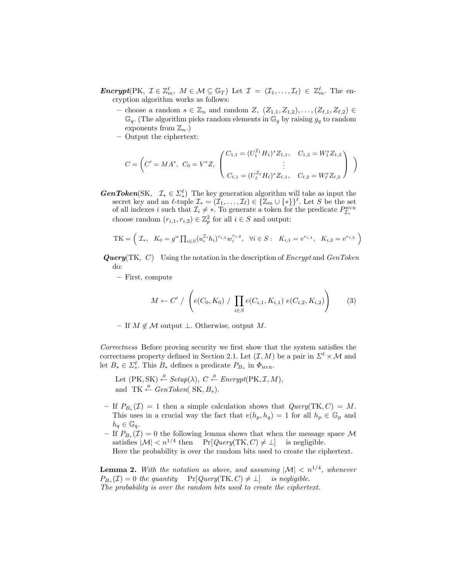**Encrypt**(PK,  $\mathcal{I} \in \mathbb{Z}_m^{\ell}$ ,  $M \in \mathcal{M} \subseteq \mathbb{G}_T$ ) Let  $\mathcal{I} = (\mathcal{I}_1, \ldots, \mathcal{I}_{\ell}) \in \mathbb{Z}_m^{\ell}$ . The encryption algorithm works as follows:

- choose a random  $s \in \mathbb{Z}_n$  and random  $Z$ ,  $(Z_{1,1}, Z_{1,2}), \ldots, (Z_{\ell,1}, Z_{\ell,2}) \in$  $\mathbb{G}_q$ . (The algorithm picks random elements in  $\mathbb{G}_q$  by raising  $g_q$  to random exponents from  $\mathbb{Z}_n$ .
- Output the ciphertext:

$$
C = \left( C' = MA^s, \ C_0 = V^s Z, \begin{pmatrix} C_{1,1} = (U_1^{\mathcal{I}_1} H_1)^s Z_{1,1}, & C_{1,2} = W_1^s Z_{1,2} \\ \vdots & \vdots \\ C_{\ell,1} = (U_\ell^{\mathcal{I}_\ell} H_\ell)^s Z_{\ell,1}, & C_{\ell,2} = W_\ell^s Z_{\ell,2} \end{pmatrix} \right)
$$

**GenToken**(SK,  $\mathcal{I}_* \in \Sigma_*^{\ell}$ ) The key generation algorithm will take as input the secret key and an  $\ell$ -tuple  $\mathcal{I}_* = (\mathcal{I}_1, \ldots, \mathcal{I}_\ell) \in \{ \mathbb{Z}_m \cup \{*\}\}^{\ell}$ . Let S be the set of all indexes i such that  $\mathcal{I}_i \neq *$ . To generate a token for the predicate  $P^{\text{HVE}}_{\mathcal{I}_*}$ choose random  $(r_{i,1}, r_{i,2}) \in \mathbb{Z}_p^2$  for all  $i \in S$  and output:

TK = 
$$
(\mathcal{I}_*, K_0 = g^{\alpha} \prod_{i \in S} (u_i^{\mathcal{I}_i} h_i)^{r_{i,1}} w_i^{r_{i,2}}, \ \forall i \in S: K_{i,1} = v^{r_{i,1}}, K_{i,2} = v^{r_{i,2}})
$$

**Query**(TK, C) Using the notation in the description of *Encrypt* and *GenToken* do:

– First, compute

$$
M \leftarrow C' / \left( e(C_0, K_0) / \prod_{i \in S} e(C_{i,1}, K_{i,1}) e(C_{i,2}, K_{i,2}) \right)
$$
 (3)

– If  $M \notin \mathcal{M}$  output ⊥. Otherwise, output  $M$ .

Correctness Before proving security we first show that the system satisfies the correctness property defined in Section 2.1. Let  $(\mathcal{I}, M)$  be a pair in  $\Sigma^{\ell} \times \mathcal{M}$  and let  $B_* \in \Sigma_*^{\ell}$ . This  $B_*$  defines a predicate  $P_{B_*}$  in  $\Phi_{\text{HVE}}$ .

- Let  $(PK, SK) \stackrel{R}{\leftarrow} Setup(\lambda), C \stackrel{R}{\leftarrow} Encryption(PK, \mathcal{I}, M),$ and TK  $\stackrel{R}{\leftarrow} GenToken(SK, B_*)$ .
- $-$  If  $P_{B_*}(\mathcal{I}) = 1$  then a simple calculation shows that  $Query(TK, C) = M$ . This uses in a crucial way the fact that  $e(h_p, h_q) = 1$  for all  $h_p \in \mathbb{G}_p$  and  $h_q \in \mathbb{G}_q$ .
- − If  $P_{B_*}(\mathcal{I}) = 0$  the following lemma shows that when the message space M satisfies  $|\mathcal{M}| < n^{1/4}$  then Pr[ $Query(TK, C) \neq \bot$ ] is negligible.

Here the probability is over the random bits used to create the ciphertext.

**Lemma 2.** With the notation as above, and assuming  $|M| < n^{1/4}$ , whenever  $P_{B_*}(\mathcal{I}) = 0$  the quantity  $\Pr[Query(TK, C) \neq \bot]$  is negligible. The probability is over the random bits used to create the ciphertext.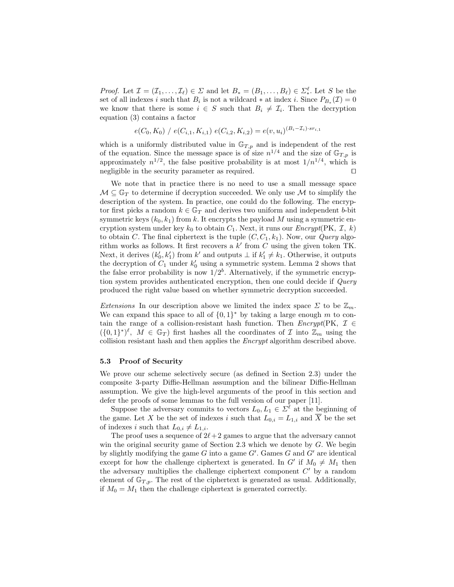*Proof.* Let  $\mathcal{I} = (\mathcal{I}_1, \ldots, \mathcal{I}_\ell) \in \Sigma$  and let  $B_* = (B_1, \ldots, B_\ell) \in \Sigma_*^{\ell}$ . Let S be the set of all indexes i such that  $B_i$  is not a wildcard  $*$  at index i. Since  $P_{B_*}(\mathcal{I}) = 0$ we know that there is some  $i \in S$  such that  $B_i \neq \mathcal{I}_i$ . Then the decryption equation (3) contains a factor

 $e(C_0, K_0)$  /  $e(C_{i,1}, K_{i,1})$   $e(C_{i,2}, K_{i,2}) = e(v, u_i)^{(B_i - \mathcal{I}_i) \cdot sr_{i,1}}$ 

which is a uniformly distributed value in  $\mathbb{G}_{T,p}$  and is independent of the rest of the equation. Since the message space is of size  $n^{1/4}$  and the size of  $\mathbb{G}_{T,p}$  is approximately  $n^{1/2}$ , the false positive probability is at most  $1/n^{1/4}$ , which is negligible in the security parameter as required.  $\square$ 

We note that in practice there is no need to use a small message space  $\mathcal{M} \subseteq \mathbb{G}_T$  to determine if decryption succeeded. We only use M to simplify the description of the system. In practice, one could do the following. The encryptor first picks a random  $k \in \mathbb{G}_T$  and derives two uniform and independent b-bit symmetric keys  $(k_0, k_1)$  from k. It encrypts the payload M using a symmetric encryption system under key  $k_0$  to obtain  $C_1$ . Next, it runs our *Encrypt*(PK,  $\mathcal{I}, k$ ) to obtain C. The final ciphertext is the tuple  $(C, C_1, k_1)$ . Now, our *Query* algorithm works as follows. It first recovers a  $k'$  from  $C$  using the given token TK. Next, it derives  $(k'_0, k'_1)$  from k' and outputs  $\perp$  if  $k'_1 \neq k_1$ . Otherwise, it outputs the decryption of  $C_1$  under  $k'_0$  using a symmetric system. Lemma 2 shows that the false error probability is now  $1/2^b$ . Alternatively, if the symmetric encryption system provides authenticated encryption, then one could decide if Query produced the right value based on whether symmetric decryption succeeded.

Extensions In our description above we limited the index space  $\Sigma$  to be  $\mathbb{Z}_m$ . We can expand this space to all of  $\{0,1\}^*$  by taking a large enough m to contain the range of a collision-resistant hash function. Then  $\text{Encrypt(PK, I} \in$  $({0,1}^*)^{\ell}, M \in \mathbb{G}_T$  first hashes all the coordinates of  $\mathcal I$  into  $\mathbb{Z}_m$  using the collision resistant hash and then applies the Encrypt algorithm described above.

#### 5.3 Proof of Security

We prove our scheme selectively secure (as defined in Section 2.3) under the composite 3-party Diffie-Hellman assumption and the bilinear Diffie-Hellman assumption. We give the high-level arguments of the proof in this section and defer the proofs of some lemmas to the full version of our paper [11].

Suppose the adversary commits to vectors  $L_0, L_1 \in \Sigma^{\ell}$  at the beginning of the game. Let X be the set of indexes i such that  $L_{0,i} = L_{1,i}$  and  $\overline{X}$  be the set of indexes i such that  $L_{0,i} \neq L_{1,i}$ .

The proof uses a sequence of  $2\ell + 2$  games to argue that the adversary cannot win the original security game of Section 2.3 which we denote by  $G$ . We begin by slightly modifying the game  $G$  into a game  $G'$ . Games  $G$  and  $G'$  are identical except for how the challenge ciphertext is generated. In  $G'$  if  $M_0 \neq M_1$  then the adversary multiplies the challenge ciphertext component  $C'$  by a random element of  $\mathbb{G}_{T,p}$ . The rest of the ciphertext is generated as usual. Additionally, if  $M_0 = M_1$  then the challenge ciphertext is generated correctly.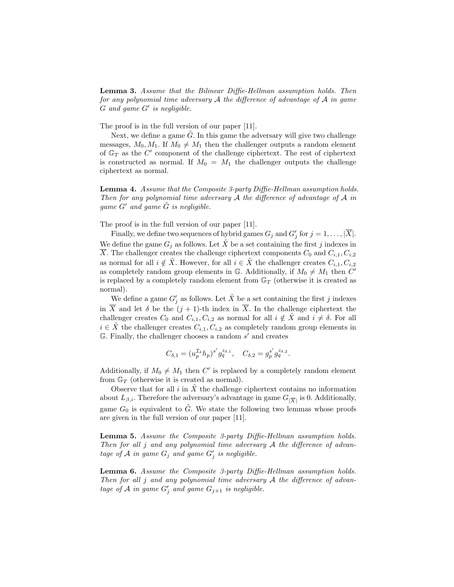Lemma 3. Assume that the Bilinear Diffie-Hellman assumption holds. Then for any polynomial time adversary  $A$  the difference of advantage of  $A$  in game  $G$  and game  $G'$  is negligible.

The proof is in the full version of our paper [11].

Next, we define a game  $G$ . In this game the adversary will give two challenge messages,  $M_0, M_1$ . If  $M_0 \neq M_1$  then the challenger outputs a random element of  $\mathbb{G}_T$  as the C' component of the challenge ciphertext. The rest of ciphertext is constructed as normal. If  $M_0 = M_1$  the challenger outputs the challenge ciphertext as normal.

Lemma 4. Assume that the Composite 3-party Diffie-Hellman assumption holds. Then for any polynomial time adversary  $A$  the difference of advantage of  $A$  in game  $G'$  and game  $\tilde{G}$  is negligible.

The proof is in the full version of our paper [11].

Finally, we define two sequences of hybrid games  $G_j$  and  $G'_j$  for  $j = 1, \ldots, |\overline{X}|$ . We define the game  $G_j$  as follows. Let X be a set containing the first j indexes in X. The challenger creates the challenge ciphertext components  $C_0$  and  $C_{i,1}, C_{i,2}$ as normal for all  $i \notin X$ . However, for all  $i \in X$  the challenger creates  $C_{i,1}, C_{i,2}$ as completely random group elements in G. Additionally, if  $M_0 \neq M_1$  then  $C'$ is replaced by a completely random element from  $\mathbb{G}_T$  (otherwise it is created as normal).

We define a game  $G'_j$  as follows. Let  $\tilde{X}$  be a set containing the first  $j$  indexes in  $\overline{X}$  and let  $\delta$  be the  $(j + 1)$ -th index in  $\overline{X}$ . In the challenge ciphertext the challenger creates  $C_0$  and  $C_{i,1}, C_{i,2}$  as normal for all  $i \notin \tilde{X}$  and  $i \neq \delta$ . For all  $i \in \tilde{X}$  the challenger creates  $C_{i,1}, C_{i,2}$  as completely random group elements in  $G$ . Finally, the challenger chooses a random  $s'$  and creates

$$
C_{\delta,1}=(u_p^{\mathcal{I}_{\delta}}h_p)^{s'}g_q^{z_{\delta,1}}, \quad C_{\delta,2}=g_p^{s'}g_q^{z_{\delta,2}}.
$$

Additionally, if  $M_0 \neq M_1$  then C' is replaced by a completely random element from  $\mathbb{G}_T$  (otherwise it is created as normal).

Observe that for all  $i$  in  $\tilde{X}$  the challenge ciphertext contains no information about  $L_{\beta,i}$ . Therefore the adversary's advantage in game  $G_{|\overline{X}|}$  is 0. Additionally, game  $G_0$  is equivalent to G. We state the following two lemmas whose proofs are given in the full version of our paper [11].

Lemma 5. Assume the Composite 3-party Diffie-Hellman assumption holds. Then for all j and any polynomial time adversary  $A$  the difference of advantage of A in game  $G_j$  and game  $G'_j$  is negligible.

Lemma 6. Assume the Composite 3-party Diffie-Hellman assumption holds. Then for all j and any polynomial time adversary  $A$  the difference of advantage of A in game  $G'_j$  and game  $G_{j+1}$  is negligible.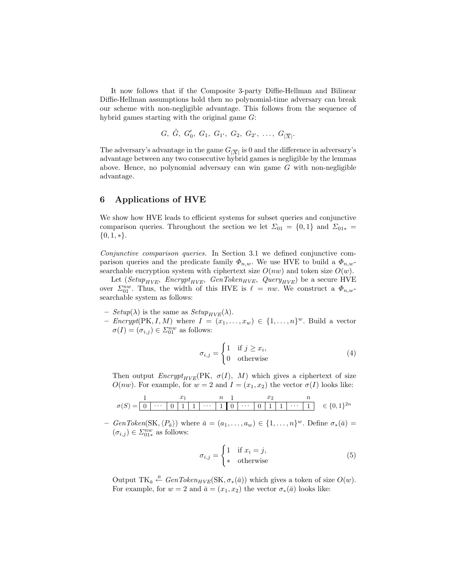It now follows that if the Composite 3-party Diffie-Hellman and Bilinear Diffie-Hellman assumptions hold then no polynomial-time adversary can break our scheme with non-negligible advantage. This follows from the sequence of hybrid games starting with the original game G:

$$
G, \ \tilde{G}, \ G'_0, \ G_1, \ G_{1'}, \ G_2, \ G_{2'}, \ \ldots, \ G_{|\overline{X}|}.
$$

The adversary's advantage in the game  $G_{|\overline{X}|}$  is 0 and the difference in adversary's advantage between any two consecutive hybrid games is negligible by the lemmas above. Hence, no polynomial adversary can win game  $G$  with non-negligible advantage.

## 6 Applications of HVE

We show how HVE leads to efficient systems for subset queries and conjunctive comparison queries. Throughout the section we let  $\Sigma_{01} = \{0,1\}$  and  $\Sigma_{01*} =$  $\{0, 1, *\}.$ 

Conjunctive comparison queries. In Section 3.1 we defined conjunctive comparison queries and the predicate family  $\Phi_{n,w}$ . We use HVE to build a  $\Phi_{n,w}$ searchable encryption system with ciphertext size  $O(nw)$  and token size  $O(w)$ .

Let ( $Setup_{HVE}$ ,  $Encryptionity_{HVE}$ ,  $GenToken_{HVE}$ ,  $Query_{HVE}$ ) be a secure HVE over  $\Sigma_{01}^{nw}$ . Thus, the width of this HVE is  $\ell = nw$ . We construct a  $\Phi_{n,w}$ searchable system as follows:

- $Setup(\lambda)$  is the same as  $Setup_{HVE}(\lambda)$ .
- $\text{Encrypt}(\text{PK}, I, M)$  where  $I = (x_1, \ldots, x_w) \in \{1, \ldots, n\}^w$ . Build a vector  $\sigma(I) = (\sigma_{i,j}) \in \Sigma_{01}^{nw}$  as follows:

$$
\sigma_{i,j} = \begin{cases} 1 & \text{if } j \ge x_i, \\ 0 & \text{otherwise} \end{cases}
$$
 (4)

Then output  $\text{Encrypt}_{HVE}(\text{PK}, \sigma(I), M)$  which gives a ciphertext of size  $O(nw)$ . For example, for  $w = 2$  and  $I = (x_1, x_2)$  the vector  $\sigma(I)$  looks like:

0 · · · 0 1 1 · · · 1 0 · · · 0 1 1 · · · 1 1 x<sup>1</sup> n 1 x<sup>2</sup> n σ(S) = ∈ {0, 1} 2n

- GenToken(SK, $\langle P_{\bar{a}} \rangle$ ) where  $\bar{a} = (a_1, \ldots, a_w) \in \{1, \ldots, n\}^w$ . Define  $\sigma_*(\bar{a})$  $(\sigma_{i,j}) \in \Sigma_{01*}^{nw}$  as follows:

$$
\sigma_{i,j} = \begin{cases} 1 & \text{if } x_i = j, \\ * & \text{otherwise} \end{cases}
$$
 (5)

Output TK<sub> $\bar{a} \stackrel{R}{\leftarrow} GenToken_{HVE}(\text{SK}, \sigma_*(\bar{a}))$  which gives a token of size  $O(w)$ .</sub> For example, for  $w = 2$  and  $\bar{a} = (x_1, x_2)$  the vector  $\sigma_*(\bar{a})$  looks like: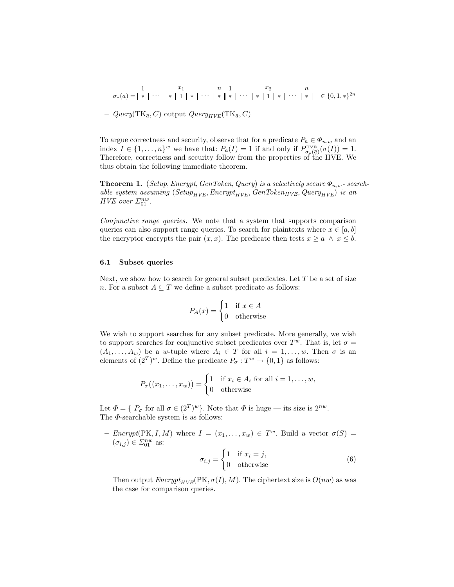∗ · · · ∗ 1 ∗ · · · ∗ ∗ · · · ∗ 1 ∗ · · · ∗ 1 x<sup>1</sup> n 1 x<sup>2</sup> n σ∗(a¯) = ∈ {0, 1, ∗}<sup>2</sup><sup>n</sup>

–  $Query(TK_{\bar{a}}, C)$  output  $Query_{HVE}(TK_{\bar{a}}, C)$ 

To argue correctness and security, observe that for a predicate  $P_{\bar a}\in\varPhi_{n,w}$  and an index  $I \in \{1, \ldots, n\}^w$  we have that:  $P_{\bar{a}}(I) = 1$  if and only if  $P_{\sigma_*(\bar{a})}^{\text{HVE}}(\sigma(I)) = 1$ . Therefore, correctness and security follow from the properties of the HVE. We thus obtain the following immediate theorem.

**Theorem 1.** (Setup, Encrypt, GenToken, Query) is a selectively secure  $\Phi_{n,w}$ -searchable system assuming ( $Setup_{HVE}$ , Encrypt<sub>HVE</sub>, GenToken<sub>HVE</sub>, Query<sub>HVE</sub>) is an HVE over  $\Sigma_{01}^{nw}$ .

Conjunctive range queries. We note that a system that supports comparison queries can also support range queries. To search for plaintexts where  $x \in [a, b]$ the encryptor encrypts the pair  $(x, x)$ . The predicate then tests  $x \ge a \land x \le b$ .

#### 6.1 Subset queries

Next, we show how to search for general subset predicates. Let  $T$  be a set of size n. For a subset  $A \subseteq T$  we define a subset predicate as follows:

$$
P_A(x) = \begin{cases} 1 & \text{if } x \in A \\ 0 & \text{otherwise} \end{cases}
$$

We wish to support searches for any subset predicate. More generally, we wish to support searches for conjunctive subset predicates over  $T^w$ . That is, let  $\sigma =$  $(A_1, \ldots, A_w)$  be a w-tuple where  $A_i \in T$  for all  $i = 1, \ldots, w$ . Then  $\sigma$  is an elements of  $(2^T)^w$ . Define the predicate  $P_{\sigma}: T^w \to \{0,1\}$  as follows:

$$
P_{\sigma}((x_1,\ldots,x_w)) = \begin{cases} 1 & \text{if } x_i \in A_i \text{ for all } i = 1,\ldots,w, \\ 0 & \text{otherwise} \end{cases}
$$

Let  $\Phi = \{P_{\sigma} \text{ for all } \sigma \in (2^T)^w\}$ . Note that  $\Phi$  is huge — its size is  $2^{nw}$ . The  $\Phi$ -searchable system is as follows:

-  $\text{Energy(PK}, I, M)$  where  $I = (x_1, \ldots, x_w) \in T^w$ . Build a vector  $\sigma(S)$  $(\sigma_{i,j}) \in \varSigma_{01}^{nw}$  as:

$$
\sigma_{i,j} = \begin{cases} 1 & \text{if } x_i = j, \\ 0 & \text{otherwise} \end{cases}
$$
 (6)

Then output  $\text{Encrypt}_{HVE}(\text{PK}, \sigma(I), M)$ . The ciphertext size is  $O(nw)$  as was the case for comparison queries.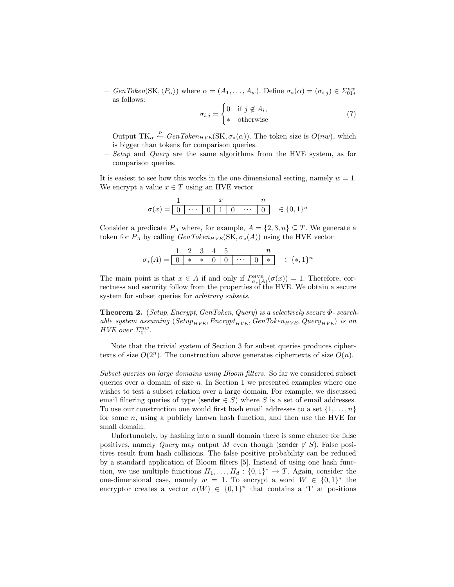-  $GenToken(SK, \langle P_{\alpha} \rangle)$  where  $\alpha = (A_1, \ldots, A_w)$ . Define  $\sigma_*(\alpha) = (\sigma_{i,j}) \in \Sigma_{01*}^{nw}$ as follows:

$$
\sigma_{i,j} = \begin{cases} 0 & \text{if } j \notin A_i, \\ * & \text{otherwise} \end{cases}
$$
 (7)

Output TK<sub> $\alpha$ </sub>  $\stackrel{R}{\leftarrow} GenToken_{HVE}(\text{SK}, \sigma_*(\alpha))$ . The token size is  $O(nw)$ , which is bigger than tokens for comparison queries.

 $-$  *Setup* and *Query* are the same algorithms from the HVE system, as for comparison queries.

It is easiest to see how this works in the one dimensional setting, namely  $w = 1$ . We encrypt a value  $x \in T$  using an HVE vector

$$
\sigma(x) = \begin{array}{|ccc|} 1 & x & n \\ \hline 0 & \cdots & 0 & 1 & 0 & \cdots & 0 \\ \end{array} \quad \in \{0,1\}^n
$$

Consider a predicate  $P_A$  where, for example,  $A = \{2, 3, n\} \subseteq T$ . We generate a token for  $P_A$  by calling  $GenToken_{HVE}(\text{SK}, \sigma_*(A))$  using the HVE vector

$$
\sigma_*(A) = \begin{array}{|c|c|c|c|c|c|} \hline 1 & 2 & 3 & 4 & 5 & n \\ \hline 0 & * & * & 0 & 0 & \cdots & 0 & * \\ \hline \end{array} \quad \in \{\ast, 1\}^n
$$

The main point is that  $x \in A$  if and only if  $P_{\sigma_*(A)}^{\text{HVE}}(\sigma(x)) = 1$ . Therefore, correctness and security follow from the properties of the HVE. We obtain a secure system for subset queries for arbitrary subsets.

**Theorem 2.** (Setup, Encrypt, GenToken, Query) is a selectively secure  $\Phi$ - searchable system assuming (Setup<sub>HVE</sub>, Encrypt<sub>HVE</sub>, GenToken<sub>HVE</sub>, Query<sub>HVE</sub>) is an HVE over  $\Sigma_{01}^{nw}$ .

Note that the trivial system of Section 3 for subset queries produces ciphertexts of size  $O(2^n)$ . The construction above generates ciphertexts of size  $O(n)$ .

Subset queries on large domains using Bloom filters. So far we considered subset queries over a domain of size  $n$ . In Section 1 we presented examples where one wishes to test a subset relation over a large domain. For example, we discussed email filtering queries of type (sender  $\in S$ ) where S is a set of email addresses. To use our construction one would first hash email addresses to a set  $\{1, \ldots, n\}$ for some  $n$ , using a publicly known hash function, and then use the HVE for small domain.

Unfortunately, by hashing into a small domain there is some chance for false positives, namely *Query* may output M even though (sender  $\notin S$ ). False positives result from hash collisions. The false positive probability can be reduced by a standard application of Bloom filters [5]. Instead of using one hash function, we use multiple functions  $H_1, \ldots, H_d : \{0,1\}^* \to T$ . Again, consider the one-dimensional case, namely  $w = 1$ . To encrypt a word  $W \in \{0,1\}^*$  the encryptor creates a vector  $\sigma(W) \in \{0,1\}^n$  that contains a '1' at positions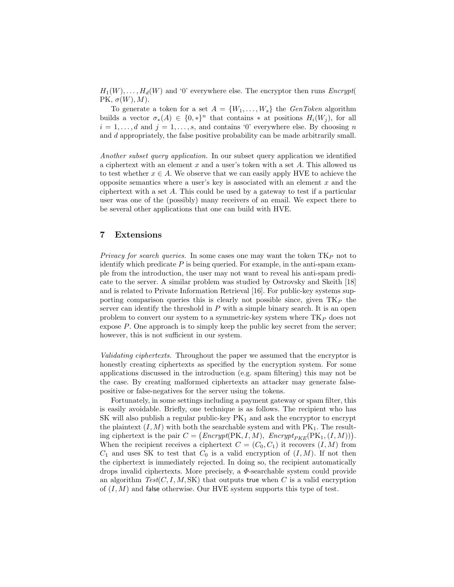$H_1(W), \ldots, H_d(W)$  and '0' everywhere else. The encryptor then runs  $\text{Encrypt}($ PK,  $\sigma(W), M$ ).

To generate a token for a set  $A = \{W_1, \ldots, W_s\}$  the  $GenToken$  algorithm builds a vector  $\sigma_*(A) \in \{0,*\}^n$  that contains  $*$  at positions  $H_i(W_i)$ , for all  $i = 1, \ldots, d$  and  $j = 1, \ldots, s$ , and contains '0' everywhere else. By choosing n and d appropriately, the false positive probability can be made arbitrarily small.

Another subset query application. In our subset query application we identified a ciphertext with an element  $x$  and a user's token with a set  $A$ . This allowed us to test whether  $x \in A$ . We observe that we can easily apply HVE to achieve the opposite semantics where a user's key is associated with an element  $x$  and the ciphertext with a set A. This could be used by a gateway to test if a particular user was one of the (possibly) many receivers of an email. We expect there to be several other applications that one can build with HVE.

## 7 Extensions

Privacy for search queries. In some cases one may want the token  $TK_P$  not to identify which predicate  $P$  is being queried. For example, in the anti-spam example from the introduction, the user may not want to reveal his anti-spam predicate to the server. A similar problem was studied by Ostrovsky and Skeith [18] and is related to Private Information Retrieval [16]. For public-key systems supporting comparison queries this is clearly not possible since, given  $TK_P$  the server can identify the threshold in  $P$  with a simple binary search. It is an open problem to convert our system to a symmetric-key system where  $TK_P$  does not expose P. One approach is to simply keep the public key secret from the server; however, this is not sufficient in our system.

Validating ciphertexts. Throughout the paper we assumed that the encryptor is honestly creating ciphertexts as specified by the encryption system. For some applications discussed in the introduction (e.g. spam filtering) this may not be the case. By creating malformed ciphertexts an attacker may generate falsepositive or false-negatives for the server using the tokens.

Fortunately, in some settings including a payment gateway or spam filter, this is easily avoidable. Briefly, one technique is as follows. The recipient who has SK will also publish a regular public-key  $PK_1$  and ask the encryptor to encrypt the plaintext  $(I, M)$  with both the searchable system and with  $PK_1$ . The resulting ciphertext is the pair  $C = (Encrypt(PK, I, M), Encrypt_{PKE}(PK<sub>1</sub>, (I, M))).$ When the recipient receives a ciphertext  $C = (C_0, C_1)$  it recovers  $(I, M)$  from  $C_1$  and uses SK to test that  $C_0$  is a valid encryption of  $(I, M)$ . If not then the ciphertext is immediately rejected. In doing so, the recipient automatically drops invalid ciphertexts. More precisely, a  $\Phi$ -searchable system could provide an algorithm  $Test(C, I, M, SK)$  that outputs true when C is a valid encryption of  $(I, M)$  and false otherwise. Our HVE system supports this type of test.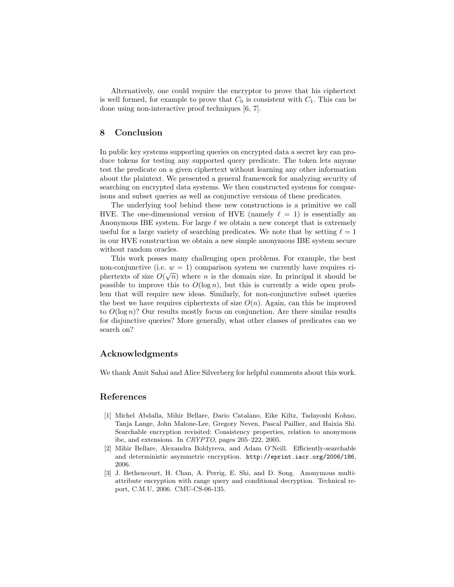Alternatively, one could require the encryptor to prove that his ciphertext is well formed, for example to prove that  $C_0$  is consistent with  $C_1$ . This can be done using non-interactive proof techniques [6, 7].

# 8 Conclusion

In public key systems supporting queries on encrypted data a secret key can produce tokens for testing any supported query predicate. The token lets anyone test the predicate on a given ciphertext without learning any other information about the plaintext. We presented a general framework for analyzing security of searching on encrypted data systems. We then constructed systems for comparisons and subset queries as well as conjunctive versions of these predicates.

The underlying tool behind these new constructions is a primitive we call HVE. The one-dimensional version of HVE (namely  $\ell = 1$ ) is essentially an Anonymous IBE system. For large  $\ell$  we obtain a new concept that is extremely useful for a large variety of searching predicates. We note that by setting  $\ell = 1$ in our HVE construction we obtain a new simple anonymous IBE system secure without random oracles.

This work posses many challenging open problems. For example, the best non-conjunctive (i.e.  $w = 1$ ) comparison system we currently have requires ciphertexts of size  $O(\sqrt{n})$  where *n* is the domain size. In principal it should be possible to improve this to  $O(\log n)$ , but this is currently a wide open problem that will require new ideas. Similarly, for non-conjunctive subset queries the best we have requires ciphertexts of size  $O(n)$ . Again, can this be improved to  $O(\log n)$ ? Our results mostly focus on conjunction. Are there similar results for disjunctive queries? More generally, what other classes of predicates can we search on?

## Acknowledgments

We thank Amit Sahai and Alice Silverberg for helpful comments about this work.

## References

- [1] Michel Abdalla, Mihir Bellare, Dario Catalano, Eike Kiltz, Tadayoshi Kohno, Tanja Lange, John Malone-Lee, Gregory Neven, Pascal Paillier, and Haixia Shi. Searchable encryption revisited: Consistency properties, relation to anonymous ibe, and extensions. In CRYPTO, pages 205–222, 2005.
- [2] Mihir Bellare, Alexandra Boldyreva, and Adam O'Neill. Efficiently-searchable and deterministic asymmetric encryption. http://eprint.iacr.org/2006/186, 2006.
- [3] J. Bethencourt, H. Chan, A. Perrig, E. Shi, and D. Song. Anonymous multiattribute encryption with range query and conditional decryption. Technical report, C.M.U, 2006. CMU-CS-06-135.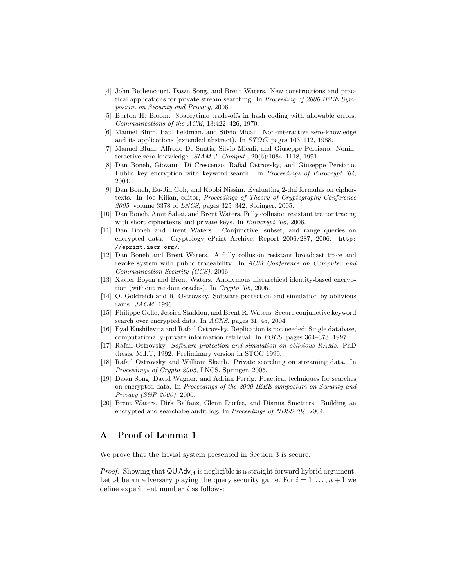- [4] John Bethencourt, Dawn Song, and Brent Waters. New constructions and practical applications for private stream searching. In *Proceeding of 2006 IEEE Sym*posium on Security and Privacy, 2006.
- [5] Burton H. Bloom. Space/time trade-offs in hash coding with allowable errors. Communications of the ACM, 13:422–426, 1970.
- [6] Manuel Blum, Paul Feldman, and Silvio Micali. Non-interactive zero-knowledge and its applications (extended abstract). In STOC, pages 103–112, 1988.
- [7] Manuel Blum, Alfredo De Santis, Silvio Micali, and Giuseppe Persiano. Noninteractive zero-knowledge.  $SIAM$  J. Comput.,  $20(6):1084-1118$ , 1991.
- [8] Dan Boneh, Giovanni Di Crescenzo, Rafial Ostrovsky, and Giuseppe Persiano. Public key encryption with keyword search. In Proceedings of Eurocrypt '04, 2004.
- [9] Dan Boneh, Eu-Jin Goh, and Kobbi Nissim. Evaluating 2-dnf formulas on ciphertexts. In Joe Kilian, editor, Proceedings of Theory of Cryptography Conference 2005, volume 3378 of LNCS, pages 325–342. Springer, 2005.
- [10] Dan Boneh, Amit Sahai, and Brent Waters. Fully collusion resistant traitor tracing with short ciphertexts and private keys. In *Eurocrypt* '06, 2006.
- [11] Dan Boneh and Brent Waters. Conjunctive, subset, and range queries on encrypted data. Cryptology ePrint Archive, Report 2006/287, 2006. http: //eprint.iacr.org/.
- [12] Dan Boneh and Brent Waters. A fully collusion resistant broadcast trace and revoke system with public traceability. In ACM Conference on Computer and Communication Security (CCS), 2006.
- [13] Xavier Boyen and Brent Waters. Anonymous hierarchical identity-based encryption (without random oracles). In Crypto '06, 2006.
- [14] O. Goldreich and R. Ostrovsky. Software protection and simulation by oblivious rams. JACM, 1996.
- [15] Philippe Golle, Jessica Staddon, and Brent R. Waters. Secure conjunctive keyword search over encrypted data. In ACNS, pages 31–45, 2004.
- [16] Eyal Kushilevitz and Rafail Ostrovsky. Replication is not needed: Single database, computationally-private information retrieval. In FOCS, pages 364–373, 1997.
- [17] Rafail Ostrovsky. Software protection and simulation on oblivious RAMs. PhD thesis, M.I.T, 1992. Preliminary version in STOC 1990.
- [18] Rafail Ostrovsky and William Skeith. Private searching on streaming data. In Proceedings of Crypto 2005, LNCS. Springer, 2005.
- [19] Dawn Song, David Wagner, and Adrian Perrig. Practical techniques for searches on encrypted data. In Proceedings of the 2000 IEEE symposium on Security and Privacy (S&P 2000), 2000.
- [20] Brent Waters, Dirk Balfanz, Glenn Durfee, and Dianna Smetters. Building an encrypted and searchabe audit log. In Proceedings of NDSS '04, 2004.

# A Proof of Lemma 1

We prove that the trivial system presented in Section 3 is secure.

*Proof.* Showing that  $QU Adv_A$  is negligible is a straight forward hybrid argument. Let A be an adversary playing the query security game. For  $i = 1, \ldots, n + 1$  we define experiment number  $i$  as follows: